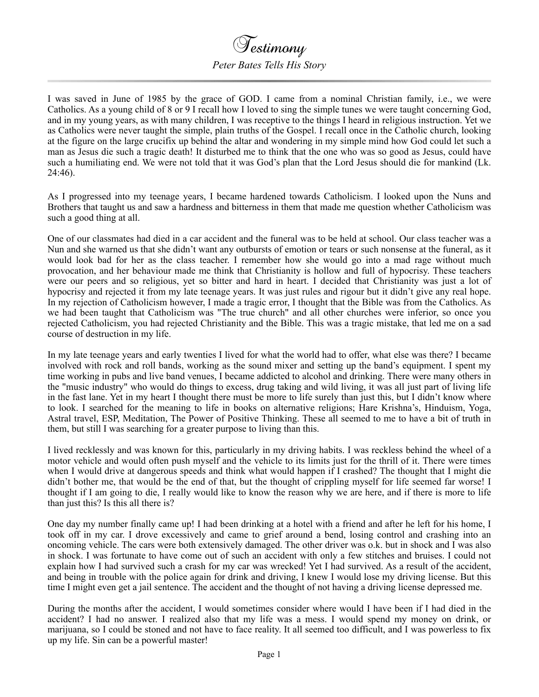## Testimony *Peter Bates Tells His Story*

I was saved in June of 1985 by the grace of GOD. I came from a nominal Christian family, i.e., we were Catholics. As a young child of 8 or 9 I recall how I loved to sing the simple tunes we were taught concerning God, and in my young years, as with many children, I was receptive to the things I heard in religious instruction. Yet we as Catholics were never taught the simple, plain truths of the Gospel. I recall once in the Catholic church, looking at the figure on the large crucifix up behind the altar and wondering in my simple mind how God could let such a man as Jesus die such a tragic death! It disturbed me to think that the one who was so good as Jesus, could have such a humiliating end. We were not told that it was God's plan that the Lord Jesus should die for mankind (Lk. 24:46).

As I progressed into my teenage years, I became hardened towards Catholicism. I looked upon the Nuns and Brothers that taught us and saw a hardness and bitterness in them that made me question whether Catholicism was such a good thing at all.

One of our classmates had died in a car accident and the funeral was to be held at school. Our class teacher was a Nun and she warned us that she didn't want any outbursts of emotion or tears or such nonsense at the funeral, as it would look bad for her as the class teacher. I remember how she would go into a mad rage without much provocation, and her behaviour made me think that Christianity is hollow and full of hypocrisy. These teachers were our peers and so religious, yet so bitter and hard in heart. I decided that Christianity was just a lot of hypocrisy and rejected it from my late teenage years. It was just rules and rigour but it didn't give any real hope. In my rejection of Catholicism however, I made a tragic error, I thought that the Bible was from the Catholics. As we had been taught that Catholicism was "The true church" and all other churches were inferior, so once you rejected Catholicism, you had rejected Christianity and the Bible. This was a tragic mistake, that led me on a sad course of destruction in my life.

In my late teenage years and early twenties I lived for what the world had to offer, what else was there? I became involved with rock and roll bands, working as the sound mixer and setting up the band's equipment. I spent my time working in pubs and live band venues, I became addicted to alcohol and drinking. There were many others in the "music industry" who would do things to excess, drug taking and wild living, it was all just part of living life in the fast lane. Yet in my heart I thought there must be more to life surely than just this, but I didn't know where to look. I searched for the meaning to life in books on alternative religions; Hare Krishna's, Hinduism, Yoga, Astral travel, ESP, Meditation, The Power of Positive Thinking. These all seemed to me to have a bit of truth in them, but still I was searching for a greater purpose to living than this.

I lived recklessly and was known for this, particularly in my driving habits. I was reckless behind the wheel of a motor vehicle and would often push myself and the vehicle to its limits just for the thrill of it. There were times when I would drive at dangerous speeds and think what would happen if I crashed? The thought that I might die didn't bother me, that would be the end of that, but the thought of crippling myself for life seemed far worse! I thought if I am going to die, I really would like to know the reason why we are here, and if there is more to life than just this? Is this all there is?

One day my number finally came up! I had been drinking at a hotel with a friend and after he left for his home, I took off in my car. I drove excessively and came to grief around a bend, losing control and crashing into an oncoming vehicle. The cars were both extensively damaged. The other driver was o.k. but in shock and I was also in shock. I was fortunate to have come out of such an accident with only a few stitches and bruises. I could not explain how I had survived such a crash for my car was wrecked! Yet I had survived. As a result of the accident, and being in trouble with the police again for drink and driving, I knew I would lose my driving license. But this time I might even get a jail sentence. The accident and the thought of not having a driving license depressed me.

During the months after the accident, I would sometimes consider where would I have been if I had died in the accident? I had no answer. I realized also that my life was a mess. I would spend my money on drink, or marijuana, so I could be stoned and not have to face reality. It all seemed too difficult, and I was powerless to fix up my life. Sin can be a powerful master!